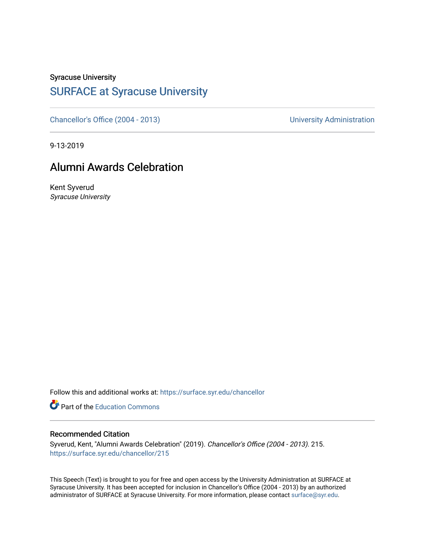Syracuse University

## [SURFACE at Syracuse University](https://surface.syr.edu/)

[Chancellor's Office \(2004 - 2013\)](https://surface.syr.edu/chancellor) Chancellor's Office (2004 - 2013)

9-13-2019

## Alumni Awards Celebration

Kent Syverud Syracuse University

Follow this and additional works at: [https://surface.syr.edu/chancellor](https://surface.syr.edu/chancellor?utm_source=surface.syr.edu%2Fchancellor%2F215&utm_medium=PDF&utm_campaign=PDFCoverPages) 

**Part of the [Education Commons](http://network.bepress.com/hgg/discipline/784?utm_source=surface.syr.edu%2Fchancellor%2F215&utm_medium=PDF&utm_campaign=PDFCoverPages)** 

## Recommended Citation

Syverud, Kent, "Alumni Awards Celebration" (2019). Chancellor's Office (2004 - 2013). 215. [https://surface.syr.edu/chancellor/215](https://surface.syr.edu/chancellor/215?utm_source=surface.syr.edu%2Fchancellor%2F215&utm_medium=PDF&utm_campaign=PDFCoverPages) 

This Speech (Text) is brought to you for free and open access by the University Administration at SURFACE at Syracuse University. It has been accepted for inclusion in Chancellor's Office (2004 - 2013) by an authorized administrator of SURFACE at Syracuse University. For more information, please contact [surface@syr.edu.](mailto:surface@syr.edu)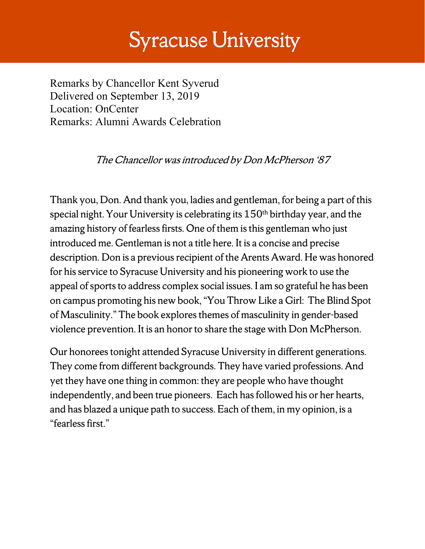## **Syracuse University**

Remarks by Chancellor Kent Syverud Delivered on September 13, 2019 Location: OnCenter Remarks: Alumni Awards Celebration

The Chancellor was introduced by Don McPherson '87

Thank you, Don. And thank you, ladies and gentleman, for being a part of this special night. Your University is celebrating its 150th birthday year, and the amazing history of fearless firsts. One of them is this gentleman who just introduced me. Gentleman is not a title here. It is a concise and precise description. Don is a previous recipient of the Arents Award. He was honored for his service to Syracuse University and his pioneering work to use the appeal of sports to address complex social issues. I am so grateful he has been on campus promoting his new book, "You Throw Like a Girl: The Blind Spot of Masculinity." The book explores themes of masculinity in gender-based violence prevention. It is an honor to share the stage with Don McPherson.

Our honorees tonight attended Syracuse University in different generations. They come from different backgrounds. They have varied professions. And yet they have one thing in common: they are people who have thought independently, and been true pioneers. Each has followed his or her hearts, and has blazed a unique path to success. Each of them, in my opinion, is a "fearless first."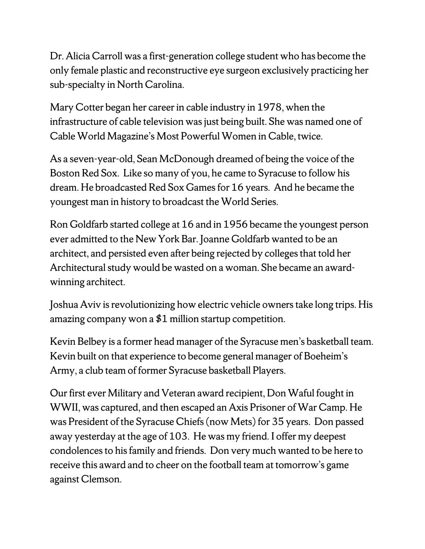Dr. Alicia Carroll was a first-generation college student who has become the only female plastic and reconstructive eye surgeon exclusively practicing her sub-specialty in North Carolina.

Mary Cotter began her career in cable industry in 1978, when the infrastructure of cable television was just being built. She was named one of Cable World Magazine's Most Powerful Women in Cable, twice.

As a seven-year-old, Sean McDonough dreamed of being the voice of the Boston Red Sox. Like so many of you, he came to Syracuse to follow his dream. He broadcasted Red Sox Games for 16 years. And he became the youngest man in history to broadcast the World Series.

Ron Goldfarb started college at 16 and in 1956 became the youngest person ever admitted to the New York Bar. Joanne Goldfarb wanted to be an architect, and persisted even after being rejected by colleges that told her Architectural study would be wasted on a woman. She became an awardwinning architect.

Joshua Aviv is revolutionizing how electric vehicle owners take long trips. His amazing company won a \$1 million startup competition.

Kevin Belbey is a former head manager of the Syracuse men's basketball team. Kevin built on that experience to become general manager of Boeheim's Army, a club team of former Syracuse basketball Players.

Our first ever Military and Veteran award recipient, Don Waful fought in WWII, was captured, and then escaped an Axis Prisoner of War Camp. He was President of the Syracuse Chiefs (now Mets) for 35 years. Don passed away yesterday at the age of 103. He was my friend. I offer my deepest condolences to his family and friends. Don very much wanted to be here to receive this award and to cheer on the football team at tomorrow's game against Clemson.